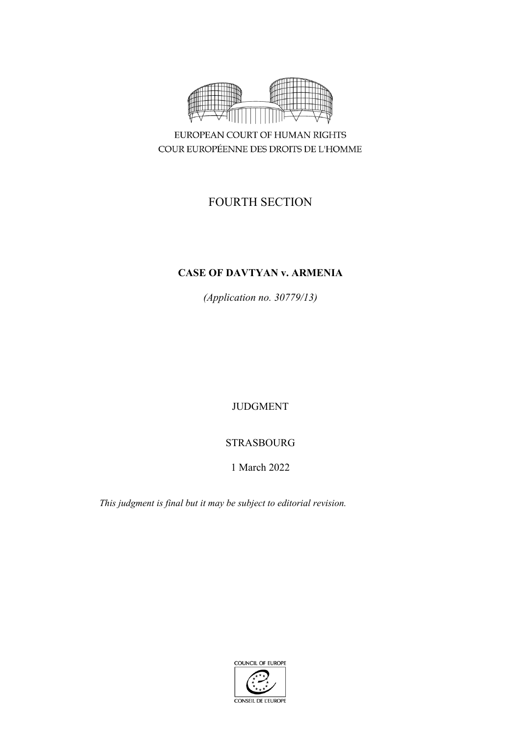

EUROPEAN COURT OF HUMAN RIGHTS COUR EUROPÉENNE DES DROITS DE L'HOMME

# FOURTH SECTION

## **CASE OF DAVTYAN v. ARMENIA**

*(Application no. 30779/13)*

JUDGMENT

## STRASBOURG

## 1 March 2022

*This judgment is final but it may be subject to editorial revision.*

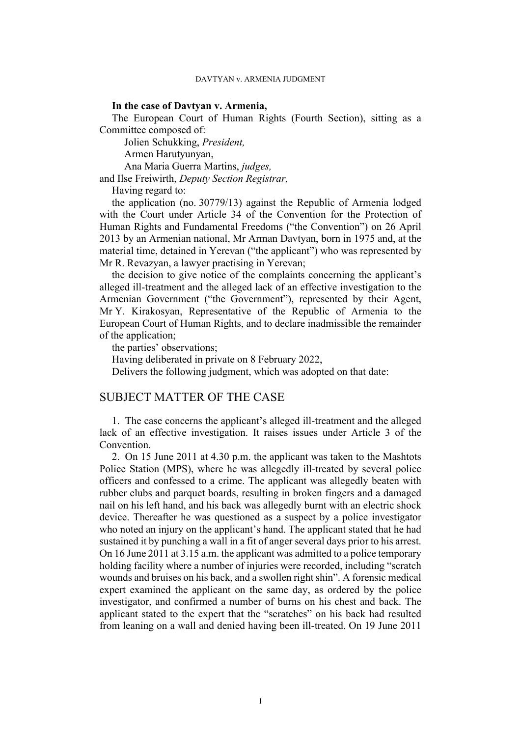### **In the case of Davtyan v. Armenia,**

The European Court of Human Rights (Fourth Section), sitting as a Committee composed of:

Jolien Schukking, *President,*

Armen Harutyunyan,

Ana Maria Guerra Martins, *judges,*

and Ilse Freiwirth, *Deputy Section Registrar,*

Having regard to:

the application (no. 30779/13) against the Republic of Armenia lodged with the Court under Article 34 of the Convention for the Protection of Human Rights and Fundamental Freedoms ("the Convention") on 26 April 2013 by an Armenian national, Mr Arman Davtyan, born in 1975 and, at the material time, detained in Yerevan ("the applicant") who was represented by Mr R. Revazyan, a lawyer practising in Yerevan;

the decision to give notice of the complaints concerning the applicant's alleged ill-treatment and the alleged lack of an effective investigation to the Armenian Government ("the Government"), represented by their Agent, Mr Y. Kirakosyan, Representative of the Republic of Armenia to the European Court of Human Rights, and to declare inadmissible the remainder of the application;

the parties' observations;

Having deliberated in private on 8 February 2022,

Delivers the following judgment, which was adopted on that date:

## SUBJECT MATTER OF THE CASE

1. The case concerns the applicant's alleged ill-treatment and the alleged lack of an effective investigation. It raises issues under Article 3 of the Convention.

<span id="page-2-0"></span>2. On 15 June 2011 at 4.30 p.m. the applicant was taken to the Mashtots Police Station (MPS), where he was allegedly ill-treated by several police officers and confessed to a crime. The applicant was allegedly beaten with rubber clubs and parquet boards, resulting in broken fingers and a damaged nail on his left hand, and his back was allegedly burnt with an electric shock device. Thereafter he was questioned as a suspect by a police investigator who noted an injury on the applicant's hand. The applicant stated that he had sustained it by punching a wall in a fit of anger several days prior to his arrest. On 16 June 2011 at 3.15 a.m. the applicant was admitted to a police temporary holding facility where a number of injuries were recorded, including "scratch wounds and bruises on his back, and a swollen right shin". A forensic medical expert examined the applicant on the same day, as ordered by the police investigator, and confirmed a number of burns on his chest and back. The applicant stated to the expert that the "scratches" on his back had resulted from leaning on a wall and denied having been ill-treated. On 19 June 2011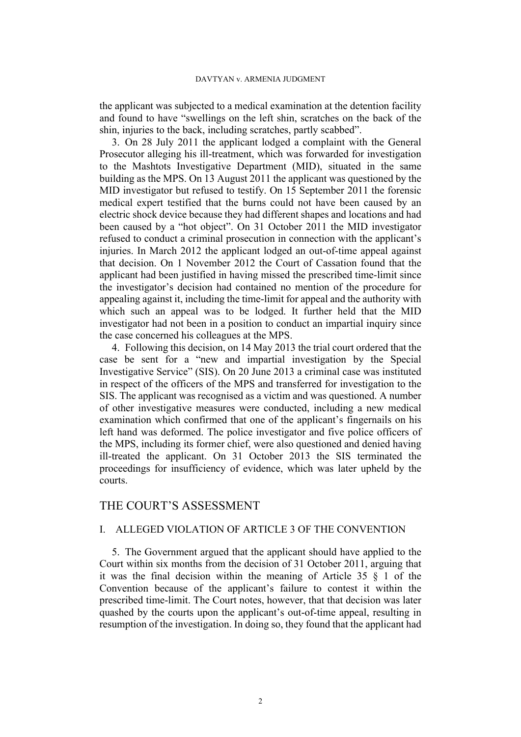#### DAVTYAN v. ARMENIA JUDGMENT

the applicant was subjected to a medical examination at the detention facility and found to have "swellings on the left shin, scratches on the back of the shin, injuries to the back, including scratches, partly scabbed".

<span id="page-3-0"></span>3. On 28 July 2011 the applicant lodged a complaint with the General Prosecutor alleging his ill-treatment, which was forwarded for investigation to the Mashtots Investigative Department (MID), situated in the same building as the MPS. On 13 August 2011 the applicant was questioned by the MID investigator but refused to testify. On 15 September 2011 the forensic medical expert testified that the burns could not have been caused by an electric shock device because they had different shapes and locations and had been caused by a "hot object". On 31 October 2011 the MID investigator refused to conduct a criminal prosecution in connection with the applicant's injuries. In March 2012 the applicant lodged an out-of-time appeal against that decision. On 1 November 2012 the Court of Cassation found that the applicant had been justified in having missed the prescribed time-limit since the investigator's decision had contained no mention of the procedure for appealing against it, including the time-limit for appeal and the authority with which such an appeal was to be lodged. It further held that the MID investigator had not been in a position to conduct an impartial inquiry since the case concerned his colleagues at the MPS.

4. Following this decision, on 14 May 2013 the trial court ordered that the case be sent for a "new and impartial investigation by the Special Investigative Service" (SIS). On 20 June 2013 a criminal case was instituted in respect of the officers of the MPS and transferred for investigation to the SIS. The applicant was recognised as a victim and was questioned. A number of other investigative measures were conducted, including a new medical examination which confirmed that one of the applicant's fingernails on his left hand was deformed. The police investigator and five police officers of the MPS, including its former chief, were also questioned and denied having ill-treated the applicant. On 31 October 2013 the SIS terminated the proceedings for insufficiency of evidence, which was later upheld by the courts.

## THE COURT'S ASSESSMENT

### I. ALLEGED VIOLATION OF ARTICLE 3 OF THE CONVENTION

5. The Government argued that the applicant should have applied to the Court within six months from the decision of 31 October 2011, arguing that it was the final decision within the meaning of Article 35 § 1 of the Convention because of the applicant's failure to contest it within the prescribed time-limit. The Court notes, however, that that decision was later quashed by the courts upon the applicant's out-of-time appeal, resulting in resumption of the investigation. In doing so, they found that the applicant had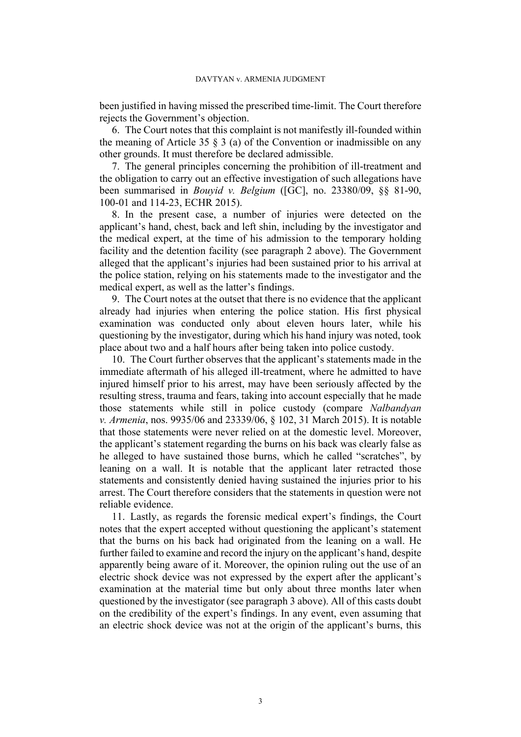been justified in having missed the prescribed time-limit. The Court therefore rejects the Government's objection.

6. The Court notes that this complaint is not manifestly ill-founded within the meaning of Article 35  $\frac{8}{9}$  (a) of the Convention or inadmissible on any other grounds. It must therefore be declared admissible.

7. The general principles concerning the prohibition of ill-treatment and the obligation to carry out an effective investigation of such allegations have been summarised in *Bouyid v. Belgium* ([GC], no. 23380/09, §§ 81-90, 100-01 and 114-23, ECHR 2015).

8. In the present case, a number of injuries were detected on the applicant's hand, chest, back and left shin, including by the investigator and the medical expert, at the time of his admission to the temporary holding facility and the detention facility (see paragraph [2](#page-2-0) above). The Government alleged that the applicant's injuries had been sustained prior to his arrival at the police station, relying on his statements made to the investigator and the medical expert, as well as the latter's findings.

9. The Court notes at the outset that there is no evidence that the applicant already had injuries when entering the police station. His first physical examination was conducted only about eleven hours later, while his questioning by the investigator, during which his hand injury was noted, took place about two and a half hours after being taken into police custody.

10. The Court further observes that the applicant's statements made in the immediate aftermath of his alleged ill-treatment, where he admitted to have injured himself prior to his arrest, may have been seriously affected by the resulting stress, trauma and fears, taking into account especially that he made those statements while still in police custody (compare *Nalbandyan v. Armenia*, nos. 9935/06 and 23339/06, § 102, 31 March 2015). It is notable that those statements were never relied on at the domestic level. Moreover, the applicant's statement regarding the burns on his back was clearly false as he alleged to have sustained those burns, which he called "scratches", by leaning on a wall. It is notable that the applicant later retracted those statements and consistently denied having sustained the injuries prior to his arrest. The Court therefore considers that the statements in question were not reliable evidence.

11. Lastly, as regards the forensic medical expert's findings, the Court notes that the expert accepted without questioning the applicant's statement that the burns on his back had originated from the leaning on a wall. He further failed to examine and record the injury on the applicant's hand, despite apparently being aware of it. Moreover, the opinion ruling out the use of an electric shock device was not expressed by the expert after the applicant's examination at the material time but only about three months later when questioned by the investigator (see paragraph [3](#page-3-0) above). All of this casts doubt on the credibility of the expert's findings. In any event, even assuming that an electric shock device was not at the origin of the applicant's burns, this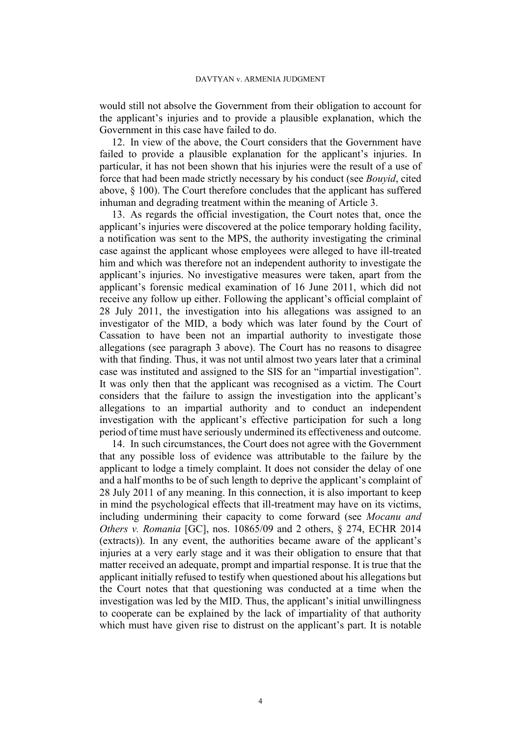would still not absolve the Government from their obligation to account for the applicant's injuries and to provide a plausible explanation, which the Government in this case have failed to do.

12. In view of the above, the Court considers that the Government have failed to provide a plausible explanation for the applicant's injuries. In particular, it has not been shown that his injuries were the result of a use of force that had been made strictly necessary by his conduct (see *Bouyid*, cited above, § 100). The Court therefore concludes that the applicant has suffered inhuman and degrading treatment within the meaning of Article 3.

13. As regards the official investigation, the Court notes that, once the applicant's injuries were discovered at the police temporary holding facility, a notification was sent to the MPS, the authority investigating the criminal case against the applicant whose employees were alleged to have ill-treated him and which was therefore not an independent authority to investigate the applicant's injuries. No investigative measures were taken, apart from the applicant's forensic medical examination of 16 June 2011, which did not receive any follow up either. Following the applicant's official complaint of 28 July 2011, the investigation into his allegations was assigned to an investigator of the MID, a body which was later found by the Court of Cassation to have been not an impartial authority to investigate those allegations (see paragraph [3](#page-3-0) above). The Court has no reasons to disagree with that finding. Thus, it was not until almost two years later that a criminal case was instituted and assigned to the SIS for an "impartial investigation". It was only then that the applicant was recognised as a victim. The Court considers that the failure to assign the investigation into the applicant's allegations to an impartial authority and to conduct an independent investigation with the applicant's effective participation for such a long period of time must have seriously undermined its effectiveness and outcome.

14. In such circumstances, the Court does not agree with the Government that any possible loss of evidence was attributable to the failure by the applicant to lodge a timely complaint. It does not consider the delay of one and a half months to be of such length to deprive the applicant's complaint of 28 July 2011 of any meaning. In this connection, it is also important to keep in mind the psychological effects that ill-treatment may have on its victims, including undermining their capacity to come forward (see *Mocanu and Others v. Romania* [GC], nos. 10865/09 and 2 others, § 274, ECHR 2014 (extracts)). In any event, the authorities became aware of the applicant's injuries at a very early stage and it was their obligation to ensure that that matter received an adequate, prompt and impartial response. It is true that the applicant initially refused to testify when questioned about his allegations but the Court notes that that questioning was conducted at a time when the investigation was led by the MID. Thus, the applicant's initial unwillingness to cooperate can be explained by the lack of impartiality of that authority which must have given rise to distrust on the applicant's part. It is notable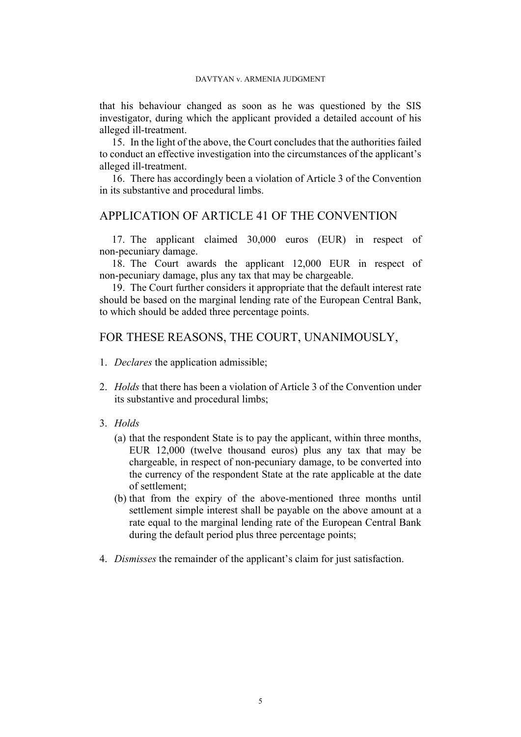that his behaviour changed as soon as he was questioned by the SIS investigator, during which the applicant provided a detailed account of his alleged ill-treatment.

15. In the light of the above, the Court concludes that the authorities failed to conduct an effective investigation into the circumstances of the applicant's alleged ill-treatment.

16. There has accordingly been a violation of Article 3 of the Convention in its substantive and procedural limbs.

## APPLICATION OF ARTICLE 41 OF THE CONVENTION

17. The applicant claimed 30,000 euros (EUR) in respect of non-pecuniary damage.

18. The Court awards the applicant 12,000 EUR in respect of non-pecuniary damage, plus any tax that may be chargeable.

19. The Court further considers it appropriate that the default interest rate should be based on the marginal lending rate of the European Central Bank, to which should be added three percentage points.

### FOR THESE REASONS, THE COURT, UNANIMOUSLY,

- 1. *Declares* the application admissible;
- 2. *Holds* that there has been a violation of Article 3 of the Convention under its substantive and procedural limbs;
- 3. *Holds*
	- (a) that the respondent State is to pay the applicant, within three months, EUR 12,000 (twelve thousand euros) plus any tax that may be chargeable, in respect of non-pecuniary damage, to be converted into the currency of the respondent State at the rate applicable at the date of settlement;
	- (b) that from the expiry of the above-mentioned three months until settlement simple interest shall be payable on the above amount at a rate equal to the marginal lending rate of the European Central Bank during the default period plus three percentage points;
- 4. *Dismisses* the remainder of the applicant's claim for just satisfaction.